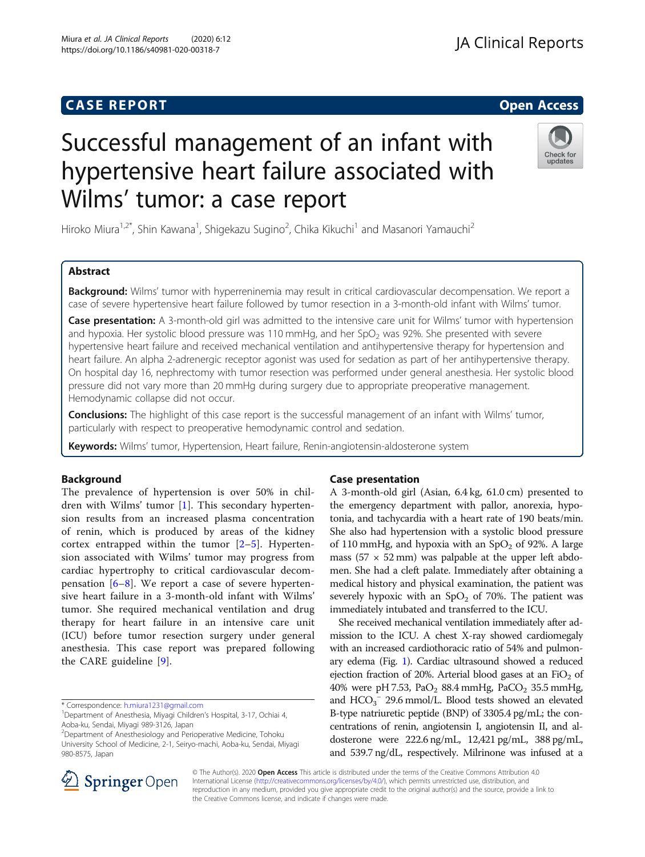# **CASE REPORT And SERVICE SERVICE SERVICE SERVICE SERVICE SERVICE SERVICE SERVICE SERVICE SERVICE SERVICE SERVICE**

# Successful management of an infant with hypertensive heart failure associated with Wilms' tumor: a case report

Hiroko Miura<sup>1,2\*</sup>, Shin Kawana<sup>1</sup>, Shigekazu Sugino<sup>2</sup>, Chika Kikuchi<sup>1</sup> and Masanori Yamauchi<sup>2</sup>

# Abstract

Background: Wilms' tumor with hyperreninemia may result in critical cardiovascular decompensation. We report a case of severe hypertensive heart failure followed by tumor resection in a 3-month-old infant with Wilms' tumor.

Case presentation: A 3-month-old girl was admitted to the intensive care unit for Wilms' tumor with hypertension and hypoxia. Her systolic blood pressure was 110 mmHg, and her SpO<sub>2</sub> was 92%. She presented with severe hypertensive heart failure and received mechanical ventilation and antihypertensive therapy for hypertension and heart failure. An alpha 2-adrenergic receptor agonist was used for sedation as part of her antihypertensive therapy. On hospital day 16, nephrectomy with tumor resection was performed under general anesthesia. Her systolic blood pressure did not vary more than 20 mmHg during surgery due to appropriate preoperative management. Hemodynamic collapse did not occur.

**Conclusions:** The highlight of this case report is the successful management of an infant with Wilms' tumor, particularly with respect to preoperative hemodynamic control and sedation.

Keywords: Wilms' tumor, Hypertension, Heart failure, Renin-angiotensin-aldosterone system

#### Background

The prevalence of hypertension is over 50% in children with Wilms' tumor [[1](#page-3-0)]. This secondary hypertension results from an increased plasma concentration of renin, which is produced by areas of the kidney cortex entrapped within the tumor  $[2-5]$  $[2-5]$  $[2-5]$  $[2-5]$ . Hypertension associated with Wilms' tumor may progress from cardiac hypertrophy to critical cardiovascular decompensation  $[6-8]$  $[6-8]$  $[6-8]$  $[6-8]$ . We report a case of severe hypertensive heart failure in a 3-month-old infant with Wilms' tumor. She required mechanical ventilation and drug therapy for heart failure in an intensive care unit (ICU) before tumor resection surgery under general anesthesia. This case report was prepared following the CARE guideline [\[9](#page-3-0)].

2 Department of Anesthesiology and Perioperative Medicine, Tohoku University School of Medicine, 2-1, Seiryo-machi, Aoba-ku, Sendai, Miyagi 980-8575, Japan

## Case presentation

A 3-month-old girl (Asian, 6.4 kg, 61.0 cm) presented to the emergency department with pallor, anorexia, hypotonia, and tachycardia with a heart rate of 190 beats/min. She also had hypertension with a systolic blood pressure of 110 mmHg, and hypoxia with an  $SpO<sub>2</sub>$  of 92%. A large mass ( $57 \times 52$  mm) was palpable at the upper left abdomen. She had a cleft palate. Immediately after obtaining a medical history and physical examination, the patient was severely hypoxic with an  $SpO<sub>2</sub>$  of 70%. The patient was immediately intubated and transferred to the ICU.

She received mechanical ventilation immediately after admission to the ICU. A chest X-ray showed cardiomegaly with an increased cardiothoracic ratio of 54% and pulmonary edema (Fig. [1\)](#page-1-0). Cardiac ultrasound showed a reduced ejection fraction of 20%. Arterial blood gases at an  $FiO<sub>2</sub>$  of 40% were pH 7.53, PaO<sub>2</sub> 88.4 mmHg, PaCO<sub>2</sub> 35.5 mmHg, and  $HCO_3^-$  29.6 mmol/L. Blood tests showed an elevated B-type natriuretic peptide (BNP) of 3305.4 pg/mL; the concentrations of renin, angiotensin I, angiotensin II, and aldosterone were 222.6 ng/mL, 12,421 pg/mL, 388 pg/mL, and 539.7 ng/dL, respectively. Milrinone was infused at a

© The Author(s). 2020 Open Access This article is distributed under the terms of the Creative Commons Attribution 4.0 International License ([http://creativecommons.org/licenses/by/4.0/\)](http://creativecommons.org/licenses/by/4.0/), which permits unrestricted use, distribution, and reproduction in any medium, provided you give appropriate credit to the original author(s) and the source, provide a link to the Creative Commons license, and indicate if changes were made.





<sup>\*</sup> Correspondence: [h.miura1231@gmail.com](mailto:h.miura1231@gmail.com) <sup>1</sup>

<sup>&</sup>lt;sup>1</sup>Department of Anesthesia, Miyagi Children's Hospital, 3-17, Ochiai 4, Aoba-ku, Sendai, Miyagi 989-3126, Japan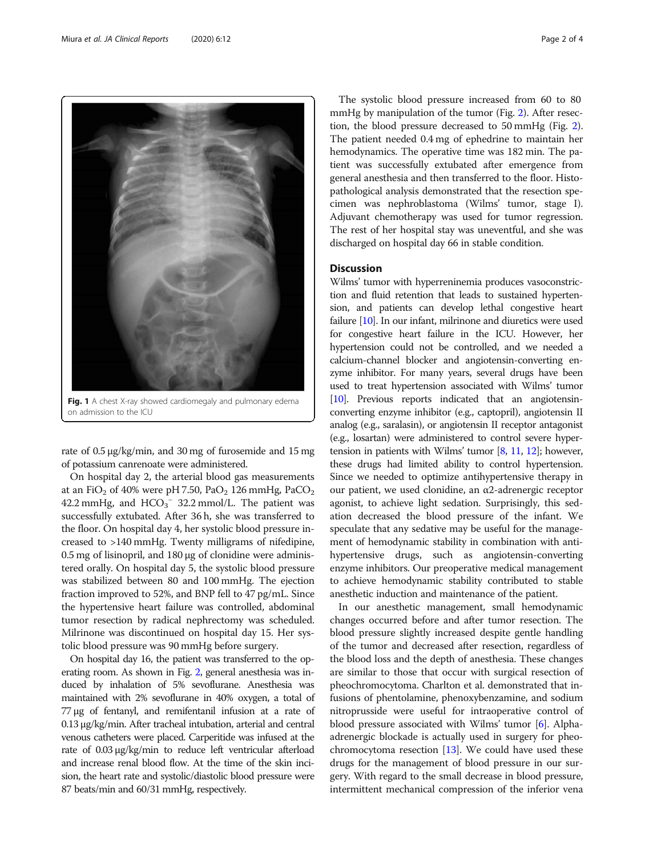<span id="page-1-0"></span>

on admission to the ICU

rate of 0.5 μg/kg/min, and 30 mg of furosemide and 15 mg of potassium canrenoate were administered.

On hospital day 2, the arterial blood gas measurements at an FiO<sub>2</sub> of 40% were pH 7.50, PaO<sub>2</sub> 126 mmHg, PaCO<sub>2</sub> 42.2 mmHg, and  $HCO<sub>3</sub><sup>-</sup>$  32.2 mmol/L. The patient was successfully extubated. After 36 h, she was transferred to the floor. On hospital day 4, her systolic blood pressure increased to >140 mmHg. Twenty milligrams of nifedipine, 0.5 mg of lisinopril, and 180 μg of clonidine were administered orally. On hospital day 5, the systolic blood pressure was stabilized between 80 and 100 mmHg. The ejection fraction improved to 52%, and BNP fell to 47 pg/mL. Since the hypertensive heart failure was controlled, abdominal tumor resection by radical nephrectomy was scheduled. Milrinone was discontinued on hospital day 15. Her systolic blood pressure was 90 mmHg before surgery.

On hospital day 16, the patient was transferred to the operating room. As shown in Fig. [2,](#page-2-0) general anesthesia was induced by inhalation of 5% sevoflurane. Anesthesia was maintained with 2% sevoflurane in 40% oxygen, a total of 77 μg of fentanyl, and remifentanil infusion at a rate of 0.13 μg/kg/min. After tracheal intubation, arterial and central venous catheters were placed. Carperitide was infused at the rate of 0.03 μg/kg/min to reduce left ventricular afterload and increase renal blood flow. At the time of the skin incision, the heart rate and systolic/diastolic blood pressure were 87 beats/min and 60/31 mmHg, respectively.

The systolic blood pressure increased from 60 to 80 mmHg by manipulation of the tumor (Fig. [2](#page-2-0)). After resection, the blood pressure decreased to 50 mmHg (Fig. [2](#page-2-0)). The patient needed 0.4 mg of ephedrine to maintain her hemodynamics. The operative time was 182 min. The patient was successfully extubated after emergence from general anesthesia and then transferred to the floor. Histopathological analysis demonstrated that the resection specimen was nephroblastoma (Wilms' tumor, stage I). Adjuvant chemotherapy was used for tumor regression. The rest of her hospital stay was uneventful, and she was discharged on hospital day 66 in stable condition.

### **Discussion**

Wilms' tumor with hyperreninemia produces vasoconstriction and fluid retention that leads to sustained hypertension, and patients can develop lethal congestive heart failure [[10](#page-3-0)]. In our infant, milrinone and diuretics were used for congestive heart failure in the ICU. However, her hypertension could not be controlled, and we needed a calcium-channel blocker and angiotensin-converting enzyme inhibitor. For many years, several drugs have been used to treat hypertension associated with Wilms' tumor [[10](#page-3-0)]. Previous reports indicated that an angiotensinconverting enzyme inhibitor (e.g., captopril), angiotensin II analog (e.g., saralasin), or angiotensin II receptor antagonist (e.g., losartan) were administered to control severe hypertension in patients with Wilms' tumor [\[8,](#page-3-0) [11](#page-3-0), [12\]](#page-3-0); however, these drugs had limited ability to control hypertension. Since we needed to optimize antihypertensive therapy in our patient, we used clonidine, an α2-adrenergic receptor agonist, to achieve light sedation. Surprisingly, this sedation decreased the blood pressure of the infant. We speculate that any sedative may be useful for the management of hemodynamic stability in combination with antihypertensive drugs, such as angiotensin-converting enzyme inhibitors. Our preoperative medical management to achieve hemodynamic stability contributed to stable anesthetic induction and maintenance of the patient.

In our anesthetic management, small hemodynamic changes occurred before and after tumor resection. The blood pressure slightly increased despite gentle handling of the tumor and decreased after resection, regardless of the blood loss and the depth of anesthesia. These changes are similar to those that occur with surgical resection of pheochromocytoma. Charlton et al. demonstrated that infusions of phentolamine, phenoxybenzamine, and sodium nitroprusside were useful for intraoperative control of blood pressure associated with Wilms' tumor [\[6](#page-3-0)]. Alphaadrenergic blockade is actually used in surgery for pheochromocytoma resection [[13](#page-3-0)]. We could have used these drugs for the management of blood pressure in our surgery. With regard to the small decrease in blood pressure, intermittent mechanical compression of the inferior vena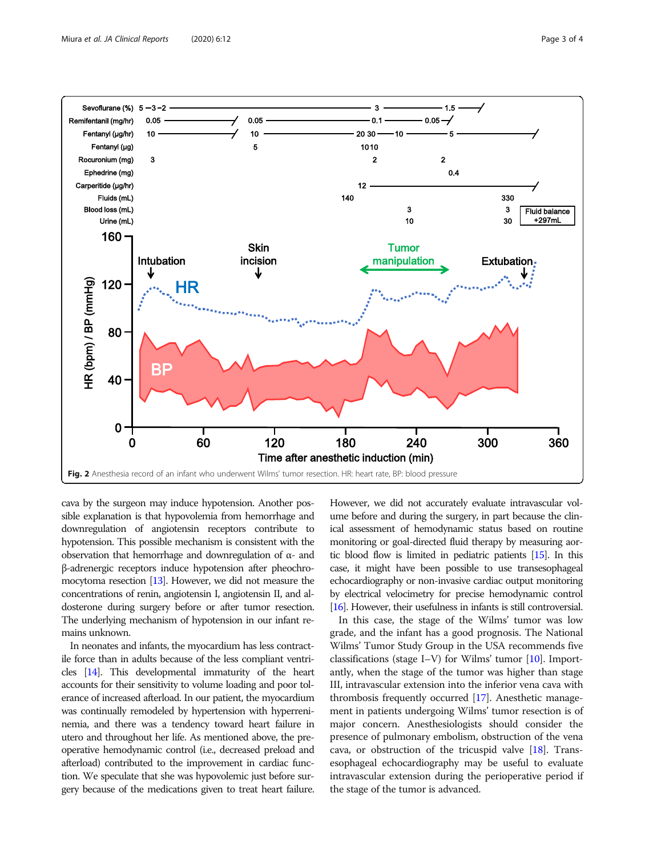<span id="page-2-0"></span>

cava by the surgeon may induce hypotension. Another possible explanation is that hypovolemia from hemorrhage and downregulation of angiotensin receptors contribute to hypotension. This possible mechanism is consistent with the observation that hemorrhage and downregulation of α- and β-adrenergic receptors induce hypotension after pheochromocytoma resection [\[13](#page-3-0)]. However, we did not measure the concentrations of renin, angiotensin I, angiotensin II, and aldosterone during surgery before or after tumor resection. The underlying mechanism of hypotension in our infant remains unknown.

In neonates and infants, the myocardium has less contractile force than in adults because of the less compliant ventricles [\[14\]](#page-3-0). This developmental immaturity of the heart accounts for their sensitivity to volume loading and poor tolerance of increased afterload. In our patient, the myocardium was continually remodeled by hypertension with hyperreninemia, and there was a tendency toward heart failure in utero and throughout her life. As mentioned above, the preoperative hemodynamic control (i.e., decreased preload and afterload) contributed to the improvement in cardiac function. We speculate that she was hypovolemic just before surgery because of the medications given to treat heart failure. However, we did not accurately evaluate intravascular volume before and during the surgery, in part because the clinical assessment of hemodynamic status based on routine monitoring or goal-directed fluid therapy by measuring aortic blood flow is limited in pediatric patients [\[15\]](#page-3-0). In this case, it might have been possible to use transesophageal echocardiography or non-invasive cardiac output monitoring by electrical velocimetry for precise hemodynamic control [[16\]](#page-3-0). However, their usefulness in infants is still controversial.

In this case, the stage of the Wilms' tumor was low grade, and the infant has a good prognosis. The National Wilms' Tumor Study Group in the USA recommends five classifications (stage I–V) for Wilms' tumor [[10](#page-3-0)]. Importantly, when the stage of the tumor was higher than stage III, intravascular extension into the inferior vena cava with thrombosis frequently occurred [\[17](#page-3-0)]. Anesthetic management in patients undergoing Wilms' tumor resection is of major concern. Anesthesiologists should consider the presence of pulmonary embolism, obstruction of the vena cava, or obstruction of the tricuspid valve [[18\]](#page-3-0). Transesophageal echocardiography may be useful to evaluate intravascular extension during the perioperative period if the stage of the tumor is advanced.